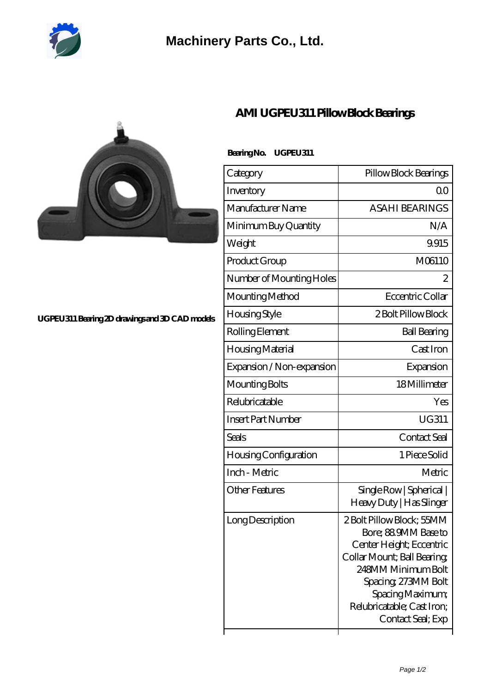

## **[Machinery Parts Co., Ltd.](https://m.diours.com)**



#### **[UGPEU311 Bearing 2D drawings and 3D CAD models](https://m.diours.com/pic-379820.html)**

### **[AMI UGPEU311 Pillow Block Bearings](https://m.diours.com/ami-ugpeu311-bearing/)**

### **Bearing No. UGPEU311**

| Category                  | Pillow Block Bearings                                                                                                                                                                                                          |
|---------------------------|--------------------------------------------------------------------------------------------------------------------------------------------------------------------------------------------------------------------------------|
| Inventory                 | 0 <sup>0</sup>                                                                                                                                                                                                                 |
| Manufacturer Name         | <b>ASAHI BEARINGS</b>                                                                                                                                                                                                          |
| Minimum Buy Quantity      | N/A                                                                                                                                                                                                                            |
| Weight                    | 9.915                                                                                                                                                                                                                          |
| Product Group             | M06110                                                                                                                                                                                                                         |
| Number of Mounting Holes  | 2                                                                                                                                                                                                                              |
| Mounting Method           | Eccentric Collar                                                                                                                                                                                                               |
| Housing Style             | 2 Bolt Pillow Block                                                                                                                                                                                                            |
| Rolling Element           | <b>Ball Bearing</b>                                                                                                                                                                                                            |
| Housing Material          | Cast Iron                                                                                                                                                                                                                      |
| Expansion / Non-expansion | Expansion                                                                                                                                                                                                                      |
| Mounting Bolts            | 18Millimeter                                                                                                                                                                                                                   |
| Relubricatable            | Yes                                                                                                                                                                                                                            |
| <b>Insert Part Number</b> | <b>UG311</b>                                                                                                                                                                                                                   |
| Seals                     | Contact Seal                                                                                                                                                                                                                   |
| Housing Configuration     | 1 Piece Solid                                                                                                                                                                                                                  |
| Inch - Metric             | Metric                                                                                                                                                                                                                         |
| <b>Other Features</b>     | Single Row   Spherical  <br>Heavy Duty   Has Slinger                                                                                                                                                                           |
| Long Description          | 2Bolt Pillow Block; 55MM<br>Bore; 88.9MM Base to<br>Center Height; Eccentric<br>Collar Mount; Ball Bearing<br>248MM Minimum Bolt<br>Spacing, 273MM Bolt<br>Spacing Maximum;<br>Relubricatable; Cast Iron;<br>Contact Seal; Exp |